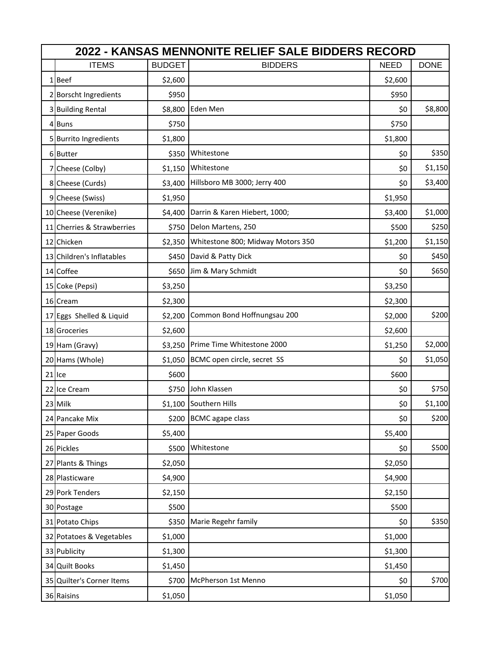| 2022 - KANSAS MENNONITE RELIEF SALE BIDDERS RECORD |               |                                   |             |             |  |  |  |  |
|----------------------------------------------------|---------------|-----------------------------------|-------------|-------------|--|--|--|--|
| <b>ITEMS</b>                                       | <b>BUDGET</b> | <b>BIDDERS</b>                    | <b>NEED</b> | <b>DONE</b> |  |  |  |  |
| 1Beef                                              | \$2,600       |                                   | \$2,600     |             |  |  |  |  |
| 2 Borscht Ingredients                              | \$950         |                                   | \$950       |             |  |  |  |  |
| 3 Building Rental                                  | \$8,800       | Eden Men                          | \$0         | \$8,800     |  |  |  |  |
| 4 Buns                                             | \$750         |                                   | \$750       |             |  |  |  |  |
| 5 Burrito Ingredients                              | \$1,800       |                                   | \$1,800     |             |  |  |  |  |
| 6 Butter                                           | \$350         | Whitestone                        | \$0         | \$350       |  |  |  |  |
| 7 Cheese (Colby)                                   |               | \$1,150 Whitestone                | \$0         | \$1,150     |  |  |  |  |
| 8 Cheese (Curds)                                   | \$3,400       | Hillsboro MB 3000; Jerry 400      | \$0         | \$3,400     |  |  |  |  |
| 9 Cheese (Swiss)                                   | \$1,950       |                                   | \$1,950     |             |  |  |  |  |
| 10 Cheese (Verenike)                               | \$4,400       | Darrin & Karen Hiebert, 1000;     | \$3,400     | \$1,000     |  |  |  |  |
| 11 Cherries & Strawberries                         |               | \$750 Delon Martens, 250          | \$500       | \$250       |  |  |  |  |
| 12 Chicken                                         | \$2,350       | Whitestone 800; Midway Motors 350 | \$1,200     | \$1,150     |  |  |  |  |
| 13 Children's Inflatables                          |               | \$450 David & Patty Dick          | \$0         | \$450       |  |  |  |  |
| 14 Coffee                                          | \$650         | Jim & Mary Schmidt                | \$0         | \$650       |  |  |  |  |
| 15 Coke (Pepsi)                                    | \$3,250       |                                   | \$3,250     |             |  |  |  |  |
| 16 Cream                                           | \$2,300       |                                   | \$2,300     |             |  |  |  |  |
| 17 Eggs Shelled & Liquid                           | \$2,200       | Common Bond Hoffnungsau 200       | \$2,000     | \$200       |  |  |  |  |
| 18 Groceries                                       | \$2,600       |                                   | \$2,600     |             |  |  |  |  |
| 19 Ham (Gravy)                                     | \$3,250       | Prime Time Whitestone 2000        | \$1,250     | \$2,000     |  |  |  |  |
| 20 Hams (Whole)                                    | \$1,050       | BCMC open circle, secret SS       | \$0         | \$1,050     |  |  |  |  |
| 21lce                                              | \$600         |                                   | \$600       |             |  |  |  |  |
| 22 Ice Cream                                       | \$750         | John Klassen                      | \$0         | \$750       |  |  |  |  |
| 23 Milk                                            |               | \$1,100 Southern Hills            | \$0         | \$1,100     |  |  |  |  |
| 24 Pancake Mix                                     |               | \$200 BCMC agape class            | \$0         | \$200       |  |  |  |  |
| 25 Paper Goods                                     | \$5,400       |                                   | \$5,400     |             |  |  |  |  |
| 26 Pickles                                         | \$500         | Whitestone                        | \$0         | \$500       |  |  |  |  |
| 27 Plants & Things                                 | \$2,050       |                                   | \$2,050     |             |  |  |  |  |
| 28 Plasticware                                     | \$4,900       |                                   | \$4,900     |             |  |  |  |  |
| 29 Pork Tenders                                    | \$2,150       |                                   | \$2,150     |             |  |  |  |  |
| 30 Postage                                         | \$500         |                                   | \$500       |             |  |  |  |  |
| 31 Potato Chips                                    | \$350         | Marie Regehr family               | \$0         | \$350       |  |  |  |  |
| 32 Potatoes & Vegetables                           | \$1,000       |                                   | \$1,000     |             |  |  |  |  |
| 33 Publicity                                       | \$1,300       |                                   | \$1,300     |             |  |  |  |  |
| 34 Quilt Books                                     | \$1,450       |                                   | \$1,450     |             |  |  |  |  |
| 35 Quilter's Corner Items                          | \$700         | McPherson 1st Menno               | \$0         | \$700       |  |  |  |  |
| 36 Raisins                                         | \$1,050       |                                   | \$1,050     |             |  |  |  |  |